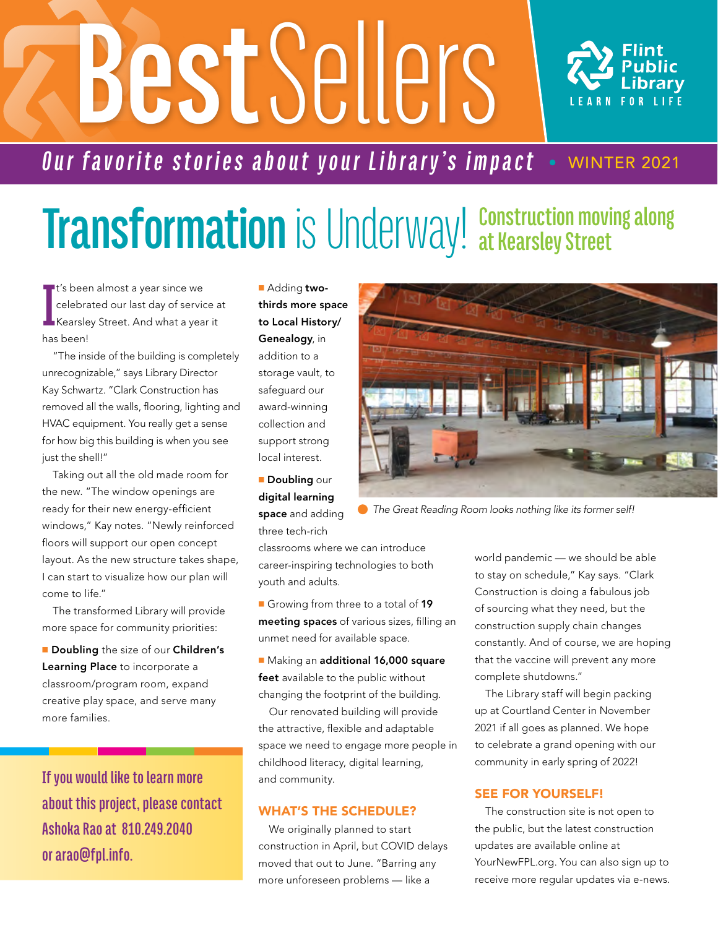# **Best** Sellers



### *Our favorite stories about your Library's impact* • WINTER 2021

### **Transformation** is Underway! Construction moving along **at Kearsley Street**

**I** t's been almost a year since we celebrated our last day of service at Kearsley Street. And what a year it has been!

"The inside of the building is completely unrecognizable," says Library Director Kay Schwartz. "Clark Construction has removed all the walls, flooring, lighting and HVAC equipment. You really get a sense for how big this building is when you see just the shell!"

Taking out all the old made room for the new. "The window openings are ready for their new energy-efficient windows," Kay notes. "Newly reinforced floors will support our open concept layout. As the new structure takes shape, I can start to visualize how our plan will come to life."

The transformed Library will provide more space for community priorities:

Doubling the size of our Children's Learning Place to incorporate a classroom/program room, expand creative play space, and serve many more families.

**If you would like to learn more about this project, please contact Ashoka Rao at 81O.249.2O4O or arao@fpl.info.**

**Adding two**thirds more space to Local History/ Genealogy, in addition to a

storage vault, to safeguard our award-winning collection and support strong local interest.

**Doubling our** digital learning space and adding three tech-rich

classrooms where we can introduce career-inspiring technologies to both youth and adults.

Growing from three to a total of 19 meeting spaces of various sizes, filling an unmet need for available space.

Making an additional 16,000 square feet available to the public without changing the footprint of the building.

Our renovated building will provide the attractive, flexible and adaptable space we need to engage more people in childhood literacy, digital learning, and community.

#### WHAT'S THE SCHEDULE?

We originally planned to start construction in April, but COVID delays moved that out to June. "Barring any more unforeseen problems — like a

world pandemic — we should be able to stay on schedule," Kay says. "Clark Construction is doing a fabulous job of sourcing what they need, but the construction supply chain changes constantly. And of course, we are hoping that the vaccine will prevent any more complete shutdowns."

The Library staff will begin packing up at Courtland Center in November 2021 if all goes as planned. We hope to celebrate a grand opening with our community in early spring of 2022!

#### SEE FOR YOURSELF!

The construction site is not open to the public, but the latest construction updates are available online at YourNewFPL.org. You can also sign up to receive more regular updates via e-news.

 *The Great Reading Room looks nothing like its former self!*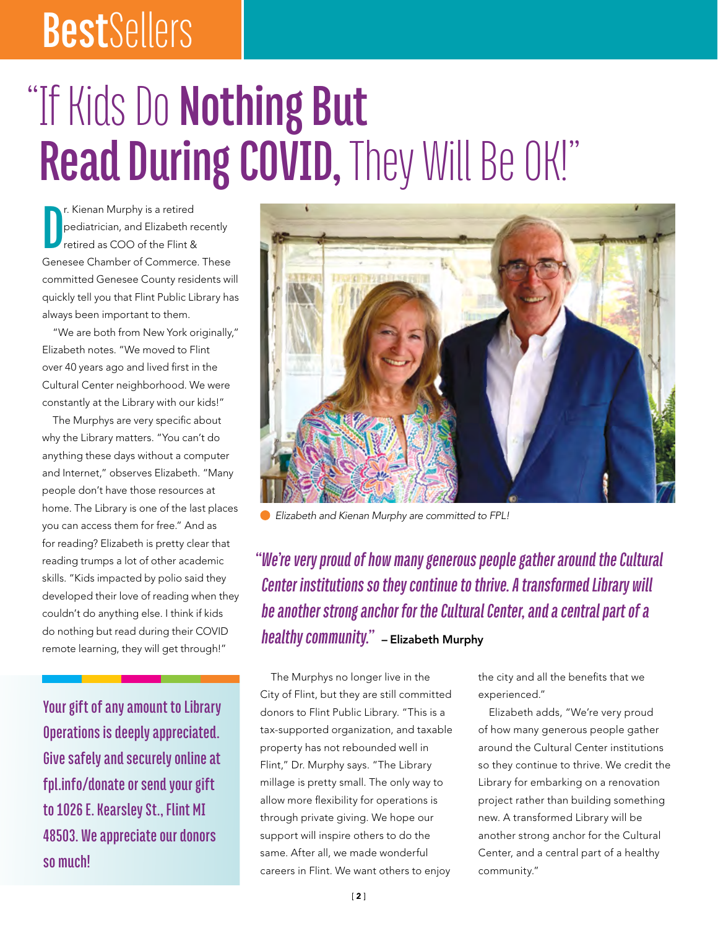## **Best**Sellers

# "If Kids Do **Nothing But**  Read During COVID, They Will Be OK!"

**D** r. Kienan Murphy is a retired pediatrician, and Elizabeth recently retired as COO of the Flint & Genesee Chamber of Commerce. These committed Genesee County residents will quickly tell you that Flint Public Library has always been important to them.

"We are both from New York originally," Elizabeth notes. "We moved to Flint over 40 years ago and lived first in the Cultural Center neighborhood. We were constantly at the Library with our kids!"

The Murphys are very specific about why the Library matters. "You can't do anything these days without a computer and Internet," observes Elizabeth. "Many people don't have those resources at home. The Library is one of the last places you can access them for free." And as for reading? Elizabeth is pretty clear that reading trumps a lot of other academic skills. "Kids impacted by polio said they developed their love of reading when they couldn't do anything else. I think if kids do nothing but read during their COVID remote learning, they will get through!"

**Your gift of any amount to Library Operations is deeply appreciated. Give safely and securely online at fpl.info/donate or send your gift to 1O26 E. Kearsley St., Flint MI 485O3. We appreciate our donors so much!**



 *Elizabeth and Kienan Murphy are committed to FPL!*

*"We're very proud of how many generous people gather around the Cultural Center institutions so they continue to thrive. A transformed Library will be another strong anchor for the Cultural Center, and a central part of a healthy community."* – Elizabeth Murphy

The Murphys no longer live in the City of Flint, but they are still committed donors to Flint Public Library. "This is a tax-supported organization, and taxable property has not rebounded well in Flint," Dr. Murphy says. "The Library millage is pretty small. The only way to allow more flexibility for operations is through private giving. We hope our support will inspire others to do the same. After all, we made wonderful careers in Flint. We want others to enjoy

the city and all the benefits that we experienced."

Elizabeth adds, "We're very proud of how many generous people gather around the Cultural Center institutions so they continue to thrive. We credit the Library for embarking on a renovation project rather than building something new. A transformed Library will be another strong anchor for the Cultural Center, and a central part of a healthy community."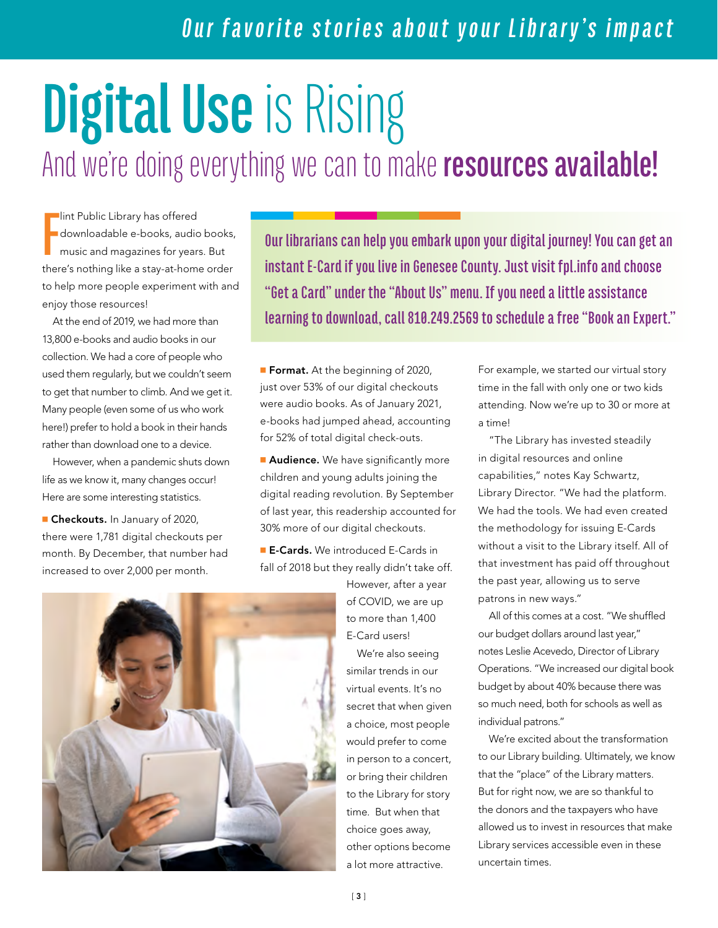### *Our favorite stories about your Library's impact*

# **Digital Use**is Rising And we're doing everything we can to make **resources available!**

**F** lint Public Library has offered downloadable e-books, audio books, music and magazines for years. But there's nothing like a stay-at-home order to help more people experiment with and enjoy those resources!

At the end of 2019, we had more than 13,800 e-books and audio books in our collection. We had a core of people who used them regularly, but we couldn't seem to get that number to climb. And we get it. Many people (even some of us who work here!) prefer to hold a book in their hands rather than download one to a device.

However, when a pandemic shuts down life as we know it, many changes occur! Here are some interesting statistics.

**Checkouts.** In January of 2020, there were 1,781 digital checkouts per month. By December, that number had increased to over 2,000 per month.

**Our librarians can help you embark upon your digital journey! You can get an instant E-Card if you live in Genesee County. Just visit fpl.info and choose "Get a Card" under the "About Us" menu. If you need a little assistance learning to download, call 810.249.2569 to schedule a free "Book an Expert."** 

**Format.** At the beginning of 2020, just over 53% of our digital checkouts were audio books. As of January 2021, e-books had jumped ahead, accounting for 52% of total digital check-outs.

**Audience.** We have significantly more children and young adults joining the digital reading revolution. By September of last year, this readership accounted for 30% more of our digital checkouts.

**E-Cards.** We introduced E-Cards in fall of 2018 but they really didn't take off.

> However, after a year of COVID, we are up to more than 1,400 E-Card users!

We're also seeing similar trends in our virtual events. It's no secret that when given a choice, most people would prefer to come in person to a concert, or bring their children to the Library for story time. But when that choice goes away, other options become a lot more attractive.

For example, we started our virtual story time in the fall with only one or two kids attending. Now we're up to 30 or more at a time!

"The Library has invested steadily in digital resources and online capabilities," notes Kay Schwartz, Library Director. "We had the platform. We had the tools. We had even created the methodology for issuing E-Cards without a visit to the Library itself. All of that investment has paid off throughout the past year, allowing us to serve patrons in new ways."

All of this comes at a cost. "We shuffled our budget dollars around last year," notes Leslie Acevedo, Director of Library Operations. "We increased our digital book budget by about 40% because there was so much need, both for schools as well as individual patrons."

We're excited about the transformation to our Library building. Ultimately, we know that the "place" of the Library matters. But for right now, we are so thankful to the donors and the taxpayers who have allowed us to invest in resources that make Library services accessible even in these uncertain times.

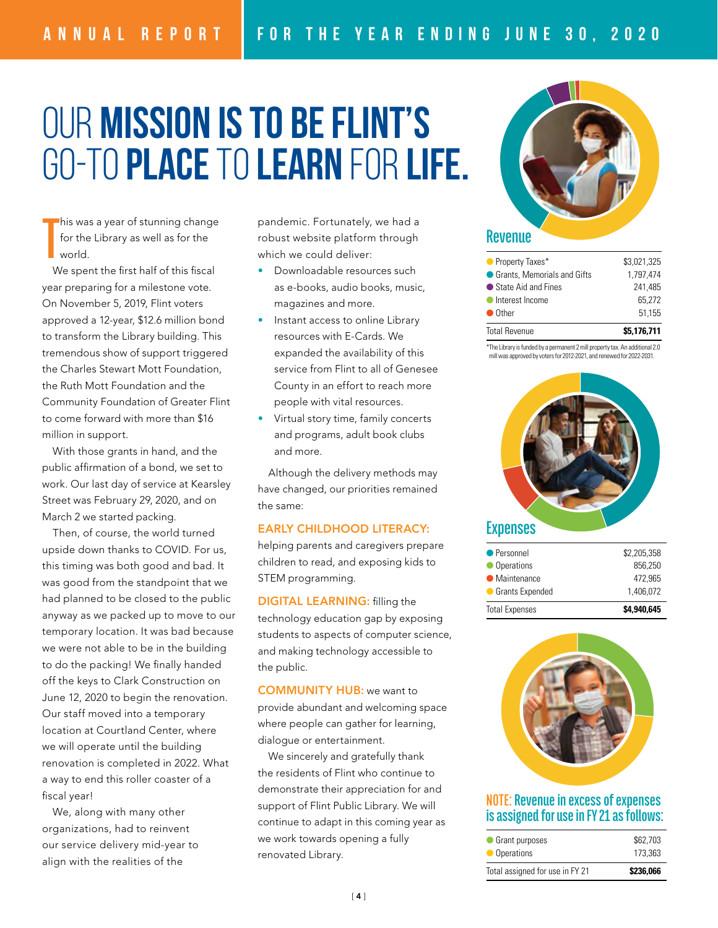### Our mission is to be Flint's go-to place to learn for life.

**T** his was a year of stunning change for the Library as well as for the world.

We spent the first half of this fiscal year preparing for a milestone vote. On November 5, 2019, Flint voters approved a 12-year, \$12.6 million bond to transform the Library building. This tremendous show of support triggered the Charles Stewart Mott Foundation, the Ruth Mott Foundation and the Community Foundation of Greater Flint to come forward with more than \$16 million in support.

With those grants in hand, and the public affirmation of a bond, we set to work. Our last day of service at Kearsley Street was February 29, 2020, and on March 2 we started packing.

Then, of course, the world turned upside down thanks to COVID. For us, this timing was both good and bad. It was good from the standpoint that we had planned to be closed to the public anyway as we packed up to move to our temporary location. It was bad because we were not able to be in the building to do the packing! We finally handed off the keys to Clark Construction on June 12, 2020 to begin the renovation. Our staff moved into a temporary location at Courtland Center, where we will operate until the building renovation is completed in 2022. What a way to end this roller coaster of a fiscal year!

We, along with many other organizations, had to reinvent our service delivery mid-year to align with the realities of the

pandemic. Fortunately, we had a robust website platform through which we could deliver:

- Downloadable resources such as e-books, audio books, music, magazines and more.
- Instant access to online Library resources with E-Cards. We expanded the availability of this service from Flint to all of Genesee County in an effort to reach more people with vital resources.
- Virtual story time, family concerts and programs, adult book clubs and more.

Although the delivery methods may have changed, our priorities remained the same:

#### EARLY CHILDHOOD LITERACY:

helping parents and caregivers prepare children to read, and exposing kids to STEM programming.

DIGITAL LEARNING: filling the technology education gap by exposing students to aspects of computer science, and making technology accessible to the public.

COMMUNITY HUB: we want to provide abundant and welcoming space where people can gather for learning, dialogue or entertainment.

We sincerely and gratefully thank the residents of Flint who continue to demonstrate their appreciation for and support of Flint Public Library. We will continue to adapt in this coming year as we work towards opening a fully renovated Library.



#### Taxes Grants State Aid Income Other

| <b>Total Revenue</b>          | \$5.176.711 |
|-------------------------------|-------------|
| $\bullet$ Other               | 51.155      |
| Interest Income               | 65.272      |
| ● State Aid and Fines         | 241.485     |
| ● Grants, Memorials and Gifts | 1,797,474   |
| • Property Taxes*             | \$3.021.325 |
|                               |             |

\*The Library is funded by a permanent 2mill property tax. An additional 2.0



| <b>Total Expenses</b> | \$4.940.645 |
|-----------------------|-------------|
| Grants Expended       | 1,406,072   |
| • Maintenance         | 472,965     |
| • Operations          | 856.250     |
| ● Personnel           | \$2,205,358 |



#### **NOTE: Revenue in excess of expenses is assigned for use in FY 21 as follows:**

| Total assigned for use in FY 21 | \$236,066 |
|---------------------------------|-----------|
| • Operations                    | 173,363   |
| • Grant purposes                | \$62,703  |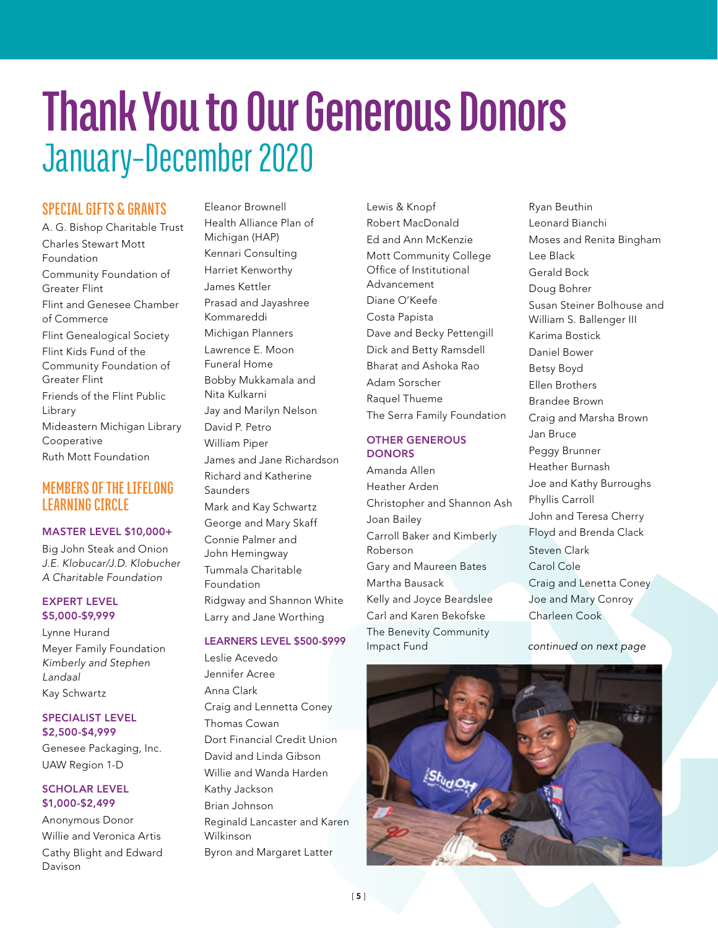### **Thank You to Our Generous Donors** January–December 2O2O

#### **SPECIAL GIFTS & GRANTS**

A. G. Bishop Charitable Trust Charles Stewart Mott Foundation Community Foundation of Greater Flint Flint and Genesee Chamber of Commerce Flint Genealogical Society Flint Kids Fund of the Community Foundation of Greater Flint Friends of the Flint Public Library Mideastern Michigan Library Cooperative Ruth Mott Foundation

#### **MEMBERS OF THE LIFELONG LEARNING CIRCLE**

#### MASTER LEVEL \$10,000+

Big John Steak and Onion J.E. Klobucar/J.D. Klobucher A Charitable Foundation

#### EXPERT LEVEL \$5,000-\$9,999

Lynne Hurand Meyer Family Foundation Kimberly and Stephen Landaal Kay Schwartz

#### SPECIALIST LEVEL \$2,500-\$4,999

Genesee Packaging, Inc. UAW Region 1-D

#### SCHOLAR LEVEL \$1,000-\$2,499

Anonymous Donor Willie and Veronica Artis Cathy Blight and Edward Davison

Eleanor Brownell Health Alliance Plan of Michigan (HAP) Kennari Consulting Harriet Kenworthy James Kettler Prasad and Jayashree Kommareddi Michigan Planners Lawrence E. Moon Funeral Home Bobby Mukkamala and Nita Kulkarni Jay and Marilyn Nelson David P. Petro William Piper James and Jane Richardson Richard and Katherine **Saunders** Mark and Kay Schwartz George and Mary Skaff Connie Palmer and John Hemingway Tummala Charitable Foundation Ridgway and Shannon White Larry and Jane Worthing

#### LEARNERS LEVEL \$500-\$999

Leslie Acevedo Jennifer Acree Anna Clark Craig and Lennetta Coney Thomas Cowan Dort Financial Credit Union David and Linda Gibson Willie and Wanda Harden Kathy Jackson Brian Johnson Reginald Lancaster and Karen Wilkinson Byron and Margaret Latter

Lewis & Knopf Robert MacDonald Ed and Ann McKenzie Mott Community College Office of Institutional Advancement Diane O'Keefe Costa Papista Dave and Becky Pettengill Dick and Betty Ramsdell Bharat and Ashoka Rao Adam Sorscher Raquel Thueme The Serra Family Foundation

#### OTHER GENEROUS **DONORS**

Amanda Allen Heather Arden Christopher and Shannon Ash Joan Bailey Carroll Baker and Kimberly Roberson Gary and Maureen Bates Martha Bausack Kelly and Joyce Beardslee Carl and Karen Bekofske The Benevity Community Impact Fund

Ryan Beuthin Leonard Bianchi Moses and Renita Bingham Lee Black Gerald Bock Doug Bohrer Susan Steiner Bolhouse and William S. Ballenger III Karima Bostick Daniel Bower Betsy Boyd Ellen Brothers Brandee Brown Craig and Marsha Brown Jan Bruce Peggy Brunner Heather Burnash Joe and Kathy Burroughs Phyllis Carroll John and Teresa Cherry Floyd and Brenda Clack Steven Clark Carol Cole Craig and Lenetta Coney Joe and Mary Conroy Charleen Cook

*continued on next page*

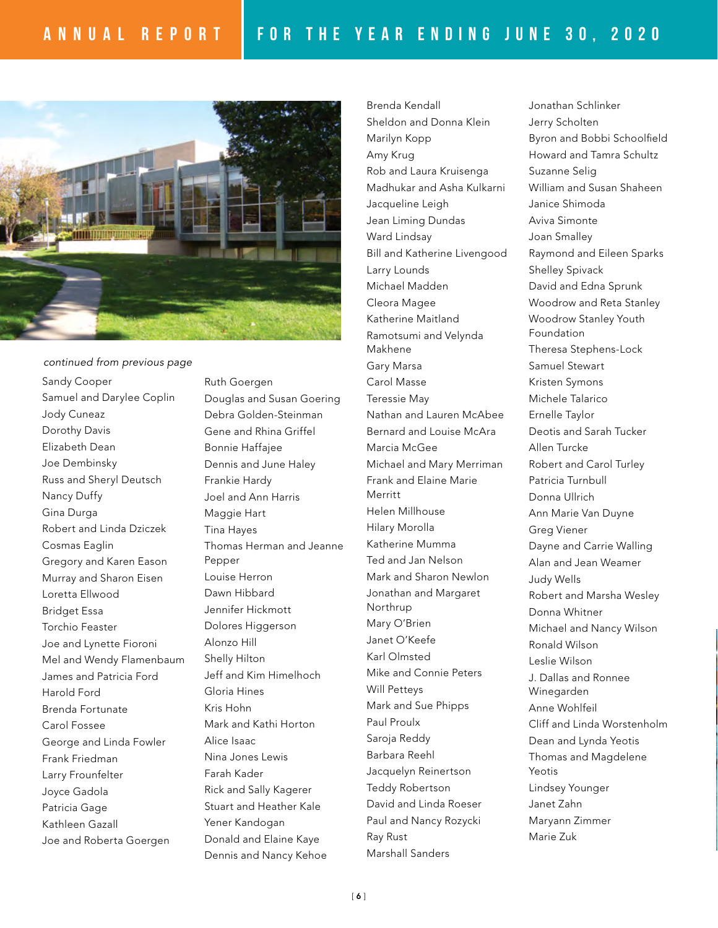

Sandy Cooper Samuel and Darylee Coplin Jody Cuneaz Dorothy Davis Elizabeth Dean Joe Dembinsky Russ and Sheryl Deutsch Nancy Duffy Gina Durga Robert and Linda Dziczek Cosmas Eaglin Gregory and Karen Eason Murray and Sharon Eisen Loretta Ellwood Bridget Essa Torchio Feaster Joe and Lynette Fioroni Mel and Wendy Flamenbaum James and Patricia Ford Harold Ford Brenda Fortunate Carol Fossee George and Linda Fowler Frank Friedman Larry Frounfelter Joyce Gadola Patricia Gage Kathleen Gazall Joe and Roberta Goergen *continued from previous page*

Ruth Goergen Douglas and Susan Goering Debra Golden-Steinman Gene and Rhina Griffel Bonnie Haffajee Dennis and June Haley Frankie Hardy Joel and Ann Harris Maggie Hart Tina Hayes Thomas Herman and Jeanne Pepper Louise Herron Dawn Hibbard Jennifer Hickmott Dolores Higgerson Alonzo Hill Shelly Hilton Jeff and Kim Himelhoch Gloria Hines Kris Hohn Mark and Kathi Horton Alice Isaac Nina Jones Lewis Farah Kader Rick and Sally Kagerer Stuart and Heather Kale Yener Kandogan Donald and Elaine Kaye

Dennis and Nancy Kehoe

Brenda Kendall Sheldon and Donna Klein Marilyn Kopp Amy Krug Rob and Laura Kruisenga Madhukar and Asha Kulkarni Jacqueline Leigh Jean Liming Dundas Ward Lindsay Bill and Katherine Livengood Larry Lounds Michael Madden Cleora Magee Katherine Maitland Ramotsumi and Velynda Makhene Gary Marsa Carol Masse Teressie May Nathan and Lauren McAbee Bernard and Louise McAra Marcia McGee Michael and Mary Merriman Frank and Elaine Marie Merritt Helen Millhouse Hilary Morolla Katherine Mumma Ted and Jan Nelson Mark and Sharon Newlon Jonathan and Margaret Northrup Mary O'Brien Janet O'Keefe Karl Olmsted Mike and Connie Peters Will Petteys Mark and Sue Phipps Paul Proulx Saroja Reddy Barbara Reehl Jacquelyn Reinertson Teddy Robertson David and Linda Roeser Paul and Nancy Rozycki Ray Rust Marshall Sanders

Jonathan Schlinker Jerry Scholten Byron and Bobbi Schoolfield Howard and Tamra Schultz Suzanne Selig William and Susan Shaheen Janice Shimoda Aviva Simonte Joan Smalley Raymond and Eileen Sparks Shelley Spivack David and Edna Sprunk Woodrow and Reta Stanley Woodrow Stanley Youth Foundation Theresa Stephens-Lock Samuel Stewart Kristen Symons Michele Talarico Ernelle Taylor Deotis and Sarah Tucker Allen Turcke Robert and Carol Turley Patricia Turnbull Donna Ullrich Ann Marie Van Duyne Greg Viener Dayne and Carrie Walling Alan and Jean Weamer Judy Wells Robert and Marsha Wesley Donna Whitner Michael and Nancy Wilson Ronald Wilson Leslie Wilson J. Dallas and Ronnee Winegarden Anne Wohlfeil Cliff and Linda Worstenholm Dean and Lynda Yeotis Thomas and Magdelene Yeotis Lindsey Younger Janet Zahn Maryann Zimmer Marie Zuk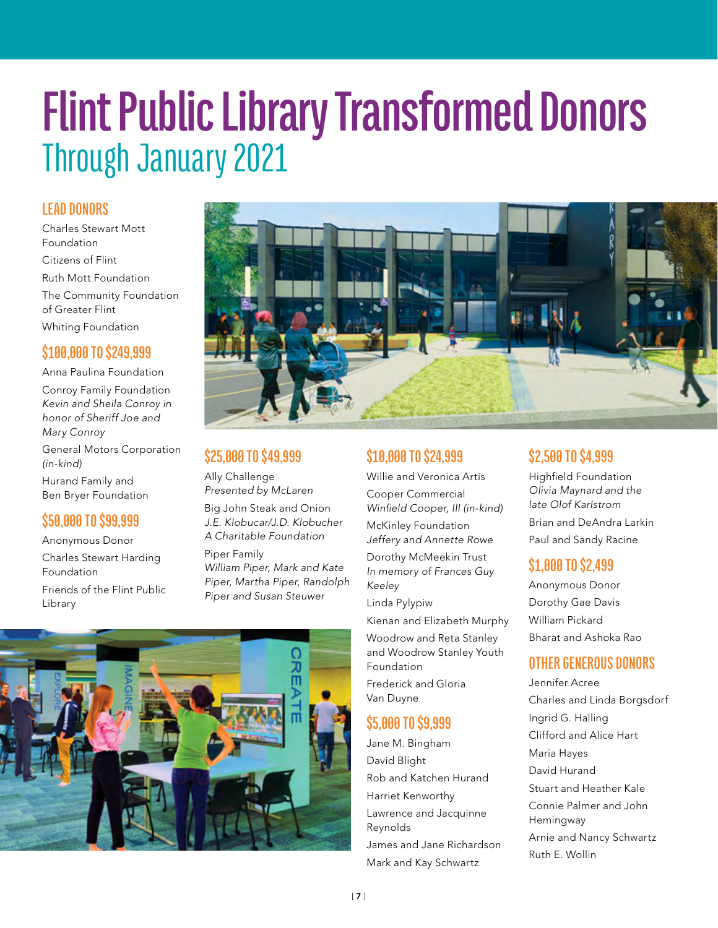### **Flint Public Library Transformed Donors** Through January 2O21

#### **LEAD DONORS**

Charles Stewart Mott Foundation Citizens of Flint Ruth Mott Foundation The Community Foundation of Greater Flint Whiting Foundation

#### **\$100,000 TO \$249,999**

Anna Paulina Foundation Conroy Family Foundation Kevin and Sheila Conroy in honor of Sheriff Joe and Mary Conroy General Motors Corporation (in-kind) Hurand Family and Ben Bryer Foundation

#### **\$50,000 TO \$99,999**

Anonymous Donor Charles Stewart Harding

Foundation

Friends of the Flint Public Library



#### **\$25,000 TO \$49,999**

Ally Challenge Presented by McLaren

Big John Steak and Onion J.E. Klobucar/J.D. Klobucher A Charitable Foundation

Piper Family William Piper, Mark and Kate Piper, Martha Piper, Randolph Piper and Susan Steuwer



#### **\$10,000 TO \$24,999**

Willie and Veronica Artis

Cooper Commercial Winfield Cooper, III (in-kind)

McKinley Foundation Jeffery and Annette Rowe

Dorothy McMeekin Trust In memory of Frances Guy Keeley

Linda Pylypiw

Kienan and Elizabeth Murphy Woodrow and Reta Stanley and Woodrow Stanley Youth Foundation Frederick and Gloria Van Duyne

#### **\$5,000 TO \$9,999**

Jane M. Bingham David Blight Rob and Katchen Hurand Harriet Kenworthy Lawrence and Jacquinne Reynolds James and Jane Richardson Mark and Kay Schwartz

#### **\$2,500 TO \$4,999**

Highfield Foundation Olivia Maynard and the late Olof Karlstrom Brian and DeAndra Larkin Paul and Sandy Racine

#### **\$1,000 TO \$2,499**

Anonymous Donor Dorothy Gae Davis William Pickard Bharat and Ashoka Rao

#### **OTHER GENEROUS DONORS**

Jennifer Acree Charles and Linda Borgsdorf Ingrid G. Halling Clifford and Alice Hart Maria Hayes David Hurand Stuart and Heather Kale Connie Palmer and John Hemingway Arnie and Nancy Schwartz Ruth E. Wollin